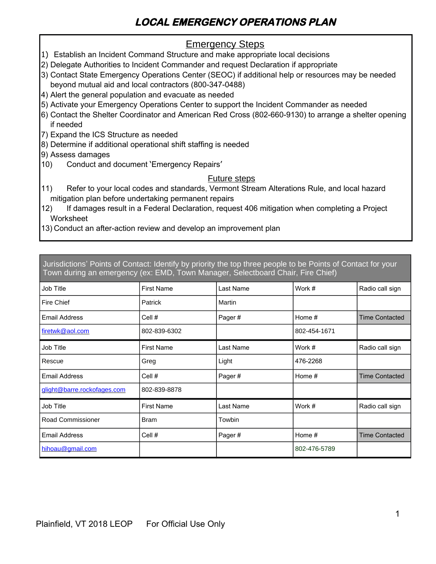# **LOCAL EMERGENCY OPERATIONS PLAN**

### **Emergency Steps**

- 1) Establish an Incident Command Structure and make appropriate local decisions
- 2) Delegate Authorities to Incident Commander and request Declaration if appropriate
- 3) Contact State Emergency Operations Center (SEOC) if additional help or resources may be needed beyond mutual aid and local contractors (800-347-0488)
- 4) Alert the general population and evacuate as needed
- 5) Activate your Emergency Operations Center to support the Incident Commander as needed
- 6) Contact the Shelter Coordinator and American Red Cross (802-660-9130) to arrange a shelter opening if needed
- 7) Expand the ICS Structure as needed
- 8) Determine if additional operational shift staffing is needed
- 9) Assess damages
- 10) Conduct and document 'Emergency Repairs'

#### Future steps

- 11) Refer to your local codes and standards, Vermont Stream Alterations Rule, and local hazard mitigation plan before undertaking permanent repairs
- 12) If damages result in a Federal Declaration, request 406 mitigation when completing a Project **Worksheet**
- 13) Conduct an after-action review and develop an improvement plan

Jurisdictions' Points of Contact: Identify by priority the top three people to be Points of Contact for your Town during an emergency (ex: EMD, Town Manager, Selectboard Chair, Fire Chief)

| <b>Job Title</b>            | <b>First Name</b> | Last Name | Work #       | Radio call sign       |
|-----------------------------|-------------------|-----------|--------------|-----------------------|
| Fire Chief                  | Patrick           | Martin    |              |                       |
| <b>Email Address</b>        | Cell #            | Pager#    | Home $#$     | <b>Time Contacted</b> |
| firetwk@aol.com             | 802-839-6302      |           | 802-454-1671 |                       |
| <b>Job Title</b>            | <b>First Name</b> | Last Name | Work #       | Radio call sign       |
| Rescue                      | Greg              | Light     | 476-2268     |                       |
| <b>Email Address</b>        | Cell #            | Pager#    | Home #       | <b>Time Contacted</b> |
| glight@barre.rockofages.com | 802-839-8878      |           |              |                       |
| <b>Job Title</b>            | <b>First Name</b> | Last Name | Work #       | Radio call sign       |
| Road Commissioner           | Bram              | Towbin    |              |                       |
| <b>Email Address</b>        | Cell #            | Pager#    | Home $#$     | Time Contacted        |
| hihoau@gmail.com            |                   |           | 802-476-5789 |                       |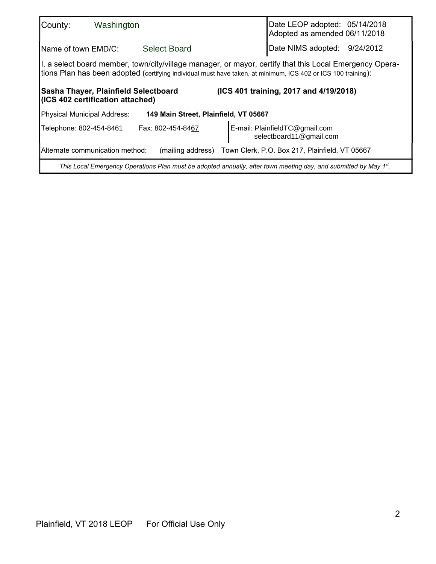| County:                                                                                                                                                                                                                                                                                                           | Washington                       |                                       |  | Date LEOP adopted: 05/14/2018<br>Adopted as amended 06/11/2018                                                   |  |
|-------------------------------------------------------------------------------------------------------------------------------------------------------------------------------------------------------------------------------------------------------------------------------------------------------------------|----------------------------------|---------------------------------------|--|------------------------------------------------------------------------------------------------------------------|--|
| Name of town EMD/C:                                                                                                                                                                                                                                                                                               |                                  | <b>Select Board</b>                   |  | Date NIMS adopted: 9/24/2012                                                                                     |  |
| I, a select board member, town/city/village manager, or mayor, certify that this Local Emergency Opera-<br>tions Plan has been adopted (certifying individual must have taken, at minimum, ICS 402 or ICS 100 training):<br>(ICS 401 training, 2017 and 4/19/2018)<br><b>Sasha Thayer, Plainfield Selectboard</b> |                                  |                                       |  |                                                                                                                  |  |
|                                                                                                                                                                                                                                                                                                                   | (ICS 402 certification attached) |                                       |  |                                                                                                                  |  |
| <b>Physical Municipal Address:</b>                                                                                                                                                                                                                                                                                |                                  | 149 Main Street, Plainfield, VT 05667 |  |                                                                                                                  |  |
| Telephone: 802-454-8461                                                                                                                                                                                                                                                                                           |                                  | Fax: 802-454-8467                     |  | E-mail: PlainfieldTC@gmail.com<br>selectboard11@gmail.com                                                        |  |
|                                                                                                                                                                                                                                                                                                                   | Alternate communication method:  |                                       |  | (mailing address) Town Clerk, P.O. Box 217, Plainfield, VT 05667                                                 |  |
|                                                                                                                                                                                                                                                                                                                   |                                  |                                       |  | This Local Emergency Operations Plan must be adopted annually, after town meeting day, and submitted by May 1st. |  |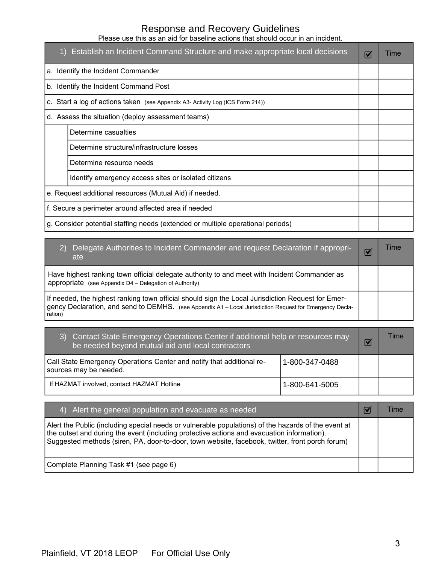#### Response and Recovery Guidelines Please use this as an aid for baseline actions that should occur in an incident.

1) Establish an Incident Command Structure and make appropriate local decisions  $\sigma$  Time a. Identify the Incident Commander b. Identify the Incident Command Post c. Start a log of actions taken (see Appendix A3- Activity Log (ICS Form 214)) d. Assess the situation (deploy assessment teams) Determine casualties Determine structure/infrastructure losses Determine resource needs Identify emergency access sites or isolated citizens e. Request additional resources (Mutual Aid) if needed. f. Secure a perimeter around affected area if needed g. Consider potential staffing needs (extended or multiple operational periods)

| Delegate Authorities to Incident Commander and request Declaration if appropri-<br>2)<br>ate                                                                                                                             | Time |
|--------------------------------------------------------------------------------------------------------------------------------------------------------------------------------------------------------------------------|------|
| Have highest ranking town official delegate authority to and meet with Incident Commander as<br>appropriate (see Appendix $D4 -$ Delegation of Authority)                                                                |      |
| If needed, the highest ranking town official should sign the Local Jurisdiction Request for Emer-<br>gency Declaration, and send to DEMHS. (see Appendix A1 - Local Jurisdiction Request for Emergency Decla-<br>ration) |      |

| <b>Contact State Emergency Operations Center if additional help or resources may</b><br>3)<br>be needed beyond mutual aid and local contractors | Time             |  |
|-------------------------------------------------------------------------------------------------------------------------------------------------|------------------|--|
| Call State Emergency Operations Center and notify that additional re-<br>sources may be needed.                                                 | l 1-800-347-0488 |  |
| If HAZMAT involved, contact HAZMAT Hotline                                                                                                      | 1-800-641-5005   |  |

| 4) Alert the general population and evacuate as needed                                                                                                                                                                                                                                               | <b>l</b> ime |
|------------------------------------------------------------------------------------------------------------------------------------------------------------------------------------------------------------------------------------------------------------------------------------------------------|--------------|
| Alert the Public (including special needs or vulnerable populations) of the hazards of the event at<br>the outset and during the event (including protective actions and evacuation information).<br>Suggested methods (siren, PA, door-to-door, town website, facebook, twitter, front porch forum) |              |
| Complete Planning Task #1 (see page 6)                                                                                                                                                                                                                                                               |              |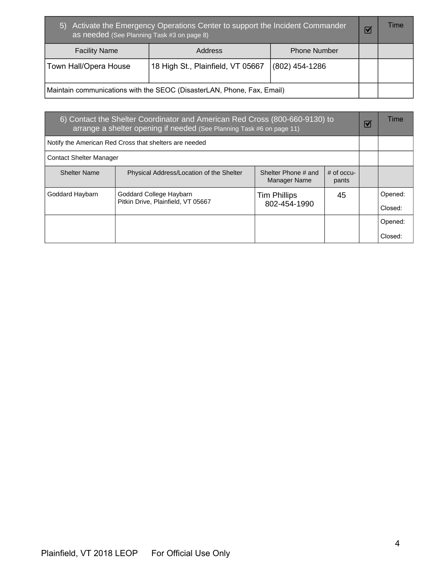| Activate the Emergency Operations Center to support the Incident Commander<br>$\vert 5 \rangle$<br>as needed (See Planning Task #3 on page 8) |                                                                        |                     |  | Time |
|-----------------------------------------------------------------------------------------------------------------------------------------------|------------------------------------------------------------------------|---------------------|--|------|
| <b>Facility Name</b>                                                                                                                          | <b>Address</b>                                                         | <b>Phone Number</b> |  |      |
| Town Hall/Opera House                                                                                                                         | 18 High St., Plainfield, VT 05667                                      | $(802)$ 454-1286    |  |      |
|                                                                                                                                               | Maintain communications with the SEOC (DisasterLAN, Phone, Fax, Email) |                     |  |      |

| 6) Contact the Shelter Coordinator and American Red Cross (800-660-9130) to<br>arrange a shelter opening if needed (See Planning Task #6 on page 11) |                                                               |                                            |                       |  | Time               |
|------------------------------------------------------------------------------------------------------------------------------------------------------|---------------------------------------------------------------|--------------------------------------------|-----------------------|--|--------------------|
|                                                                                                                                                      | Notify the American Red Cross that shelters are needed        |                                            |                       |  |                    |
| <b>Contact Shelter Manager</b>                                                                                                                       |                                                               |                                            |                       |  |                    |
| <b>Shelter Name</b>                                                                                                                                  | Physical Address/Location of the Shelter                      | Shelter Phone # and<br><b>Manager Name</b> | $#$ of occu-<br>pants |  |                    |
| Goddard Haybarn                                                                                                                                      | Goddard College Haybarn<br>Pitkin Drive, Plainfield, VT 05667 | <b>Tim Phillips</b><br>802-454-1990        | 45                    |  | Opened:<br>Closed: |
|                                                                                                                                                      |                                                               |                                            |                       |  | Opened:<br>Closed: |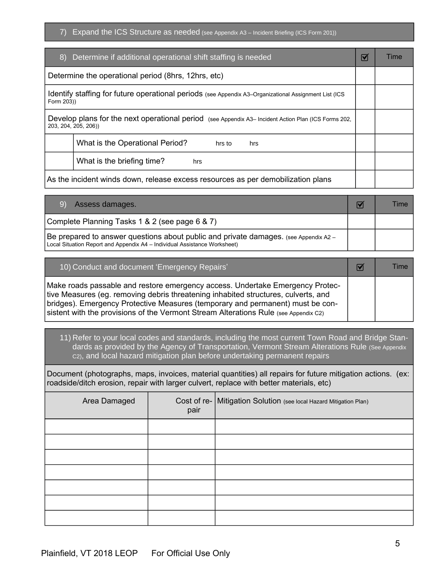7) Expand the ICS Structure as needed (see Appendix A3 – Incident Briefing (ICS Form 201))

| 8) Determine if additional operational shift staffing is needed                                                              | $\blacktriangledown$ | Time |
|------------------------------------------------------------------------------------------------------------------------------|----------------------|------|
| Determine the operational period (8hrs, 12hrs, etc)                                                                          |                      |      |
| Identify staffing for future operational periods (see Appendix A3–Organizational Assignment List (ICS<br>Form 203))          |                      |      |
| Develop plans for the next operational period (see Appendix A3- Incident Action Plan (ICS Forms 202,<br>203, 204, 205, 206)) |                      |      |
| What is the Operational Period?<br>hrs to<br>hrs                                                                             |                      |      |
| What is the briefing time?<br>hrs                                                                                            |                      |      |
| As the incident winds down, release excess resources as per demobilization plans                                             |                      |      |

| Assess damages.                                                                                                                                                   | Time |
|-------------------------------------------------------------------------------------------------------------------------------------------------------------------|------|
| Complete Planning Tasks 1 & 2 (see page 6 & 7)                                                                                                                    |      |
| Be prepared to answer questions about public and private damages. (see Appendix A2 -<br>Local Situation Report and Appendix A4 – Individual Assistance Worksheet) |      |

| 10) Conduct and document 'Emergency Repairs'                                                                                                                                                                                                                                                                                                   | $\blacktriangledown$ | Time |
|------------------------------------------------------------------------------------------------------------------------------------------------------------------------------------------------------------------------------------------------------------------------------------------------------------------------------------------------|----------------------|------|
| Make roads passable and restore emergency access. Undertake Emergency Protec-<br>tive Measures (eg. removing debris threatening inhabited structures, culverts, and<br> bridges). Emergency Protective Measures (temporary and permanent) must be con-<br>sistent with the provisions of the Vermont Stream Alterations Rule (see Appendix C2) |                      |      |

11) Refer to your local codes and standards, including the most current Town Road and Bridge Standards as provided by the Agency of Transportation, Vermont Stream Alterations Rule (See Appendix C2), and local hazard mitigation plan before undertaking permanent repairs

Document (photographs, maps, invoices, material quantities) all repairs for future mitigation actions. (ex: roadside/ditch erosion, repair with larger culvert, replace with better materials, etc)

| Area Damaged | pair | Cost of re-   Mitigation Solution (see local Hazard Mitigation Plan) |
|--------------|------|----------------------------------------------------------------------|
|              |      |                                                                      |
|              |      |                                                                      |
|              |      |                                                                      |
|              |      |                                                                      |
|              |      |                                                                      |
|              |      |                                                                      |
|              |      |                                                                      |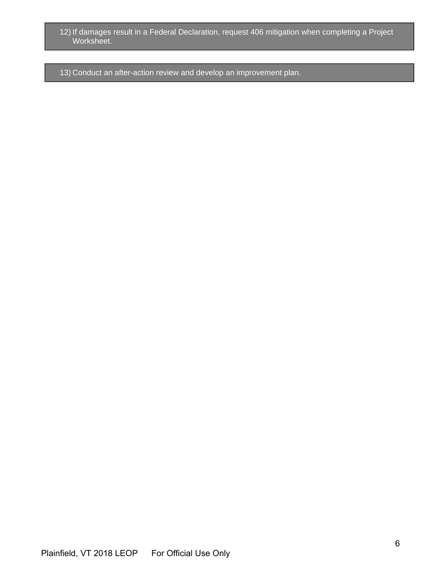- 12) If damages result in a Federal Declaration, request 406 mitigation when completing a Project Worksheet.
- 13) Conduct an after-action review and develop an improvement plan.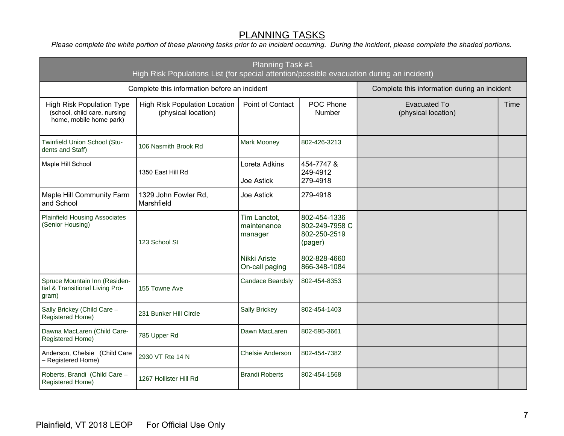## **PLANNING TASKS**

*Please complete the white portion of these planning tasks prior to an incident occurring. During the incident, please complete the shaded portions.*

| Planning Task #1<br>High Risk Populations List (for special attention/possible evacuation during an incident) |                                                             |                                        |                                                           |                                              |      |
|---------------------------------------------------------------------------------------------------------------|-------------------------------------------------------------|----------------------------------------|-----------------------------------------------------------|----------------------------------------------|------|
|                                                                                                               | Complete this information before an incident                |                                        |                                                           | Complete this information during an incident |      |
| <b>High Risk Population Type</b><br>(school, child care, nursing<br>home, mobile home park)                   | <b>High Risk Population Location</b><br>(physical location) | Point of Contact                       | POC Phone<br>Number                                       | <b>Evacuated To</b><br>(physical location)   | Time |
| Twinfield Union School (Stu-<br>dents and Staff)                                                              | 106 Nasmith Brook Rd                                        | Mark Mooney                            | 802-426-3213                                              |                                              |      |
| Maple Hill School                                                                                             | 1350 East Hill Rd                                           | Loreta Adkins<br>Joe Astick            | 454-7747 &<br>249-4912<br>279-4918                        |                                              |      |
| <b>Maple Hill Community Farm</b><br>and School                                                                | 1329 John Fowler Rd,<br>Marshfield                          | <b>Joe Astick</b>                      | 279-4918                                                  |                                              |      |
| <b>Plainfield Housing Associates</b><br>(Senior Housing)                                                      | 123 School St                                               | Tim Lanctot,<br>maintenance<br>manager | 802-454-1336<br>802-249-7958 C<br>802-250-2519<br>(pager) |                                              |      |
|                                                                                                               |                                                             | Nikki Ariste<br>On-call paging         | 802-828-4660<br>866-348-1084                              |                                              |      |
| Spruce Mountain Inn (Residen-<br>tial & Transitional Living Pro-<br>gram)                                     | 155 Towne Ave                                               | <b>Candace Beardsly</b>                | 802-454-8353                                              |                                              |      |
| Sally Brickey (Child Care -<br>Registered Home)                                                               | 231 Bunker Hill Circle                                      | <b>Sally Brickey</b>                   | 802-454-1403                                              |                                              |      |
| Dawna MacLaren (Child Care-<br>Registered Home)                                                               | 785 Upper Rd                                                | Dawn MacLaren                          | 802-595-3661                                              |                                              |      |
| Anderson, Chelsie (Child Care<br>- Registered Home)                                                           | 2930 VT Rte 14 N                                            | Chelsie Anderson                       | 802-454-7382                                              |                                              |      |
| Roberts, Brandi (Child Care -<br>Registered Home)                                                             | 1267 Hollister Hill Rd                                      | <b>Brandi Roberts</b>                  | 802-454-1568                                              |                                              |      |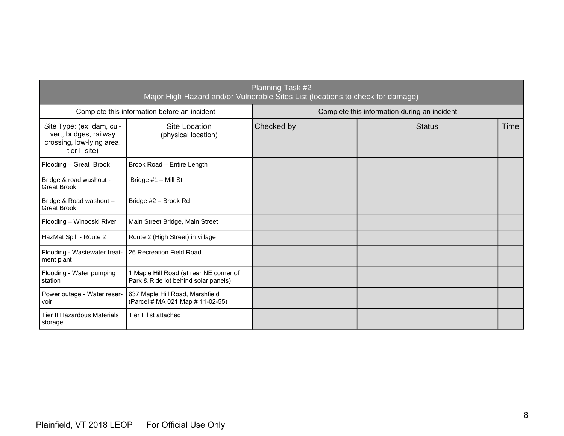| Planning Task #2<br>Major High Hazard and/or Vulnerable Sites List (locations to check for damage) |                                                                                 |                                              |               |      |  |  |  |  |
|----------------------------------------------------------------------------------------------------|---------------------------------------------------------------------------------|----------------------------------------------|---------------|------|--|--|--|--|
|                                                                                                    | Complete this information before an incident                                    | Complete this information during an incident |               |      |  |  |  |  |
| Site Type: (ex: dam, cul-<br>vert, bridges, railway<br>crossing, low-lying area,<br>tier II site)  | Site Location<br>(physical location)                                            | Checked by                                   | <b>Status</b> | Time |  |  |  |  |
| Flooding - Great Brook                                                                             | Brook Road - Entire Length                                                      |                                              |               |      |  |  |  |  |
| Bridge & road washout -<br><b>Great Brook</b>                                                      | Bridge #1 - Mill St                                                             |                                              |               |      |  |  |  |  |
| Bridge & Road washout -<br><b>Great Brook</b>                                                      | Bridge #2 - Brook Rd                                                            |                                              |               |      |  |  |  |  |
| Flooding - Winooski River                                                                          | Main Street Bridge, Main Street                                                 |                                              |               |      |  |  |  |  |
| HazMat Spill - Route 2                                                                             | Route 2 (High Street) in village                                                |                                              |               |      |  |  |  |  |
| Flooding - Wastewater treat-<br>ment plant                                                         | 26 Recreation Field Road                                                        |                                              |               |      |  |  |  |  |
| Flooding - Water pumping<br>station                                                                | 1 Maple Hill Road (at rear NE corner of<br>Park & Ride lot behind solar panels) |                                              |               |      |  |  |  |  |
| Power outage - Water reser-<br>voir                                                                | 637 Maple Hill Road, Marshfield<br>(Parcel # MA 021 Map # 11-02-55)             |                                              |               |      |  |  |  |  |
| Tier II Hazardous Materials<br>storage                                                             | Tier II list attached                                                           |                                              |               |      |  |  |  |  |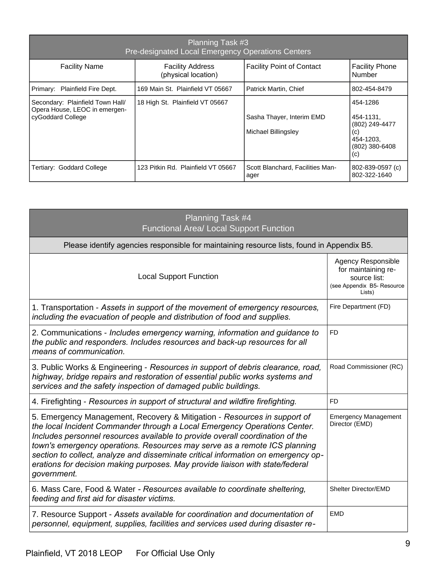| Planning Task #3<br><b>Pre-designated Local Emergency Operations Centers</b>           |                                                |                                                  |                                                                                      |  |  |  |  |  |  |  |
|----------------------------------------------------------------------------------------|------------------------------------------------|--------------------------------------------------|--------------------------------------------------------------------------------------|--|--|--|--|--|--|--|
| <b>Facility Name</b>                                                                   | <b>Facility Address</b><br>(physical location) | <b>Facility Point of Contact</b>                 | <b>Facility Phone</b><br>Number                                                      |  |  |  |  |  |  |  |
| Primary: Plainfield Fire Dept.                                                         | 169 Main St. Plainfield VT 05667               | Patrick Martin, Chief                            | 802-454-8479                                                                         |  |  |  |  |  |  |  |
| Secondary: Plainfield Town Hall/<br>Opera House, LEOC in emergen-<br>cyGoddard College | 18 High St. Plainfield VT 05667                | Sasha Thayer, Interim EMD<br>Michael Billingsley | 454-1286<br>454-1131.<br>(802) 249-4477<br>(c)<br>454-1203,<br>(802) 380-6408<br>(c) |  |  |  |  |  |  |  |
| Tertiary: Goddard College                                                              | 123 Pitkin Rd. Plainfield VT 05667             | Scott Blanchard, Facilities Man-<br>ager         | 802-839-0597 (c)<br>802-322-1640                                                     |  |  |  |  |  |  |  |

| Planning Task #4<br>Functional Area/ Local Support Function                                                                                                                                                                                                                                                                                                                                                                                                                                              |                                                                                                          |  |  |  |  |  |  |
|----------------------------------------------------------------------------------------------------------------------------------------------------------------------------------------------------------------------------------------------------------------------------------------------------------------------------------------------------------------------------------------------------------------------------------------------------------------------------------------------------------|----------------------------------------------------------------------------------------------------------|--|--|--|--|--|--|
| Please identify agencies responsible for maintaining resource lists, found in Appendix B5.                                                                                                                                                                                                                                                                                                                                                                                                               |                                                                                                          |  |  |  |  |  |  |
| <b>Local Support Function</b>                                                                                                                                                                                                                                                                                                                                                                                                                                                                            | <b>Agency Responsible</b><br>for maintaining re-<br>source list:<br>(see Appendix B5- Resource<br>Lists) |  |  |  |  |  |  |
| 1. Transportation - Assets in support of the movement of emergency resources,<br>including the evacuation of people and distribution of food and supplies.                                                                                                                                                                                                                                                                                                                                               | Fire Department (FD)                                                                                     |  |  |  |  |  |  |
| 2. Communications - Includes emergency warning, information and guidance to<br>the public and responders. Includes resources and back-up resources for all<br>means of communication.                                                                                                                                                                                                                                                                                                                    | FD                                                                                                       |  |  |  |  |  |  |
| 3. Public Works & Engineering - Resources in support of debris clearance, road,<br>highway, bridge repairs and restoration of essential public works systems and<br>services and the safety inspection of damaged public buildings.                                                                                                                                                                                                                                                                      | Road Commissioner (RC)                                                                                   |  |  |  |  |  |  |
| 4. Firefighting - Resources in support of structural and wildfire firefighting.                                                                                                                                                                                                                                                                                                                                                                                                                          | <b>FD</b>                                                                                                |  |  |  |  |  |  |
| 5. Emergency Management, Recovery & Mitigation - Resources in support of<br>the local Incident Commander through a Local Emergency Operations Center.<br>Includes personnel resources available to provide overall coordination of the<br>town's emergency operations. Resources may serve as a remote ICS planning<br>section to collect, analyze and disseminate critical information on emergency op-<br>erations for decision making purposes. May provide liaison with state/federal<br>government. | <b>Emergency Management</b><br>Director (EMD)                                                            |  |  |  |  |  |  |
| 6. Mass Care, Food & Water - Resources available to coordinate sheltering,<br>feeding and first aid for disaster victims.                                                                                                                                                                                                                                                                                                                                                                                | Shelter Director/EMD                                                                                     |  |  |  |  |  |  |
| 7. Resource Support - Assets available for coordination and documentation of<br>personnel, equipment, supplies, facilities and services used during disaster re-                                                                                                                                                                                                                                                                                                                                         | <b>EMD</b>                                                                                               |  |  |  |  |  |  |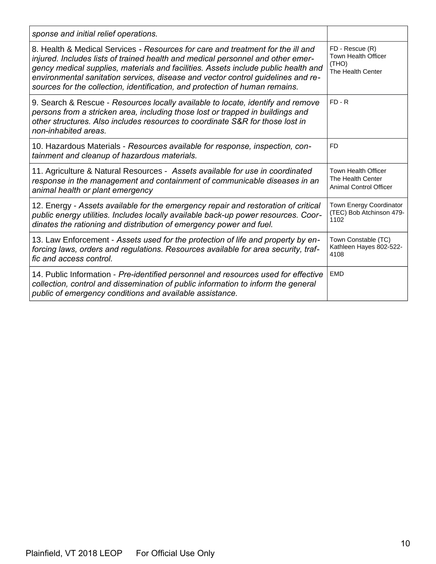| sponse and initial relief operations.                                                                                                                                                                                                                                                                                                                                                                                        |                                                                                  |
|------------------------------------------------------------------------------------------------------------------------------------------------------------------------------------------------------------------------------------------------------------------------------------------------------------------------------------------------------------------------------------------------------------------------------|----------------------------------------------------------------------------------|
| 8. Health & Medical Services - Resources for care and treatment for the ill and<br>injured. Includes lists of trained health and medical personnel and other emer-<br>gency medical supplies, materials and facilities. Assets include public health and<br>environmental sanitation services, disease and vector control guidelines and re-<br>sources for the collection, identification, and protection of human remains. | FD - Rescue (R)<br><b>Town Health Officer</b><br>(THO)<br>The Health Center      |
| 9. Search & Rescue - Resources locally available to locate, identify and remove<br>persons from a stricken area, including those lost or trapped in buildings and<br>other structures. Also includes resources to coordinate S&R for those lost in<br>non-inhabited areas.                                                                                                                                                   | $FD - R$                                                                         |
| 10. Hazardous Materials - Resources available for response, inspection, con-<br>tainment and cleanup of hazardous materials.                                                                                                                                                                                                                                                                                                 | FD                                                                               |
| 11. Agriculture & Natural Resources - Assets available for use in coordinated<br>response in the management and containment of communicable diseases in an<br>animal health or plant emergency                                                                                                                                                                                                                               | <b>Town Health Officer</b><br>The Health Center<br><b>Animal Control Officer</b> |
| 12. Energy - Assets available for the emergency repair and restoration of critical<br>public energy utilities. Includes locally available back-up power resources. Coor-<br>dinates the rationing and distribution of emergency power and fuel.                                                                                                                                                                              | <b>Town Energy Coordinator</b><br>(TEC) Bob Atchinson 479-<br>1102               |
| 13. Law Enforcement - Assets used for the protection of life and property by en-<br>forcing laws, orders and regulations. Resources available for area security, traf-<br>fic and access control.                                                                                                                                                                                                                            | Town Constable (TC)<br>Kathleen Hayes 802-522-<br>4108                           |
| 14. Public Information - Pre-identified personnel and resources used for effective<br>collection, control and dissemination of public information to inform the general<br>public of emergency conditions and available assistance.                                                                                                                                                                                          | <b>EMD</b>                                                                       |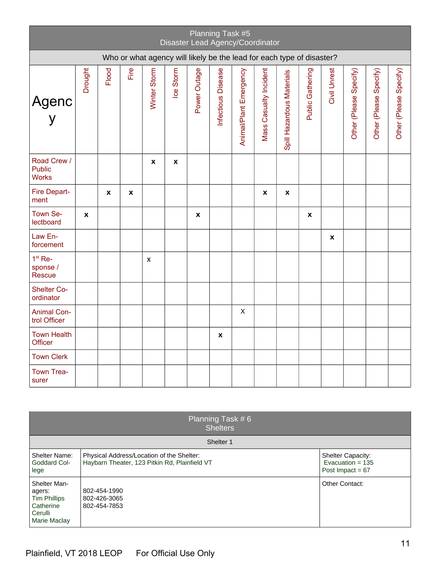| Planning Task #5<br>Disaster Lead Agency/Coordinator                  |         |       |      |                           |           |              |                    |                        |                        |                           |                  |              |                        |                        |                        |
|-----------------------------------------------------------------------|---------|-------|------|---------------------------|-----------|--------------|--------------------|------------------------|------------------------|---------------------------|------------------|--------------|------------------------|------------------------|------------------------|
| Who or what agency will likely be the lead for each type of disaster? |         |       |      |                           |           |              |                    |                        |                        |                           |                  |              |                        |                        |                        |
| Agenc<br>y                                                            | Drought | Flood | Fire | Winter Storm              | Ice Storm | Power Outage | Infectious Disease | Animal/Plant Emergency | Mass Casualty Incident | Spill Hazardous Materials | Public Gathering | Civil Unrest | Other (Please Specify) | Other (Please Specify) | Other (Please Specify) |
| Road Crew /<br><b>Public</b><br><b>Works</b>                          |         |       |      | $\boldsymbol{\mathsf{x}}$ | x         |              |                    |                        |                        |                           |                  |              |                        |                        |                        |
| Fire Depart-<br>ment                                                  |         | X     | x    |                           |           |              |                    |                        | x                      | X                         |                  |              |                        |                        |                        |
| Town Se-<br>lectboard                                                 | X       |       |      |                           |           | X            |                    |                        |                        |                           | X                |              |                        |                        |                        |
| Law En-<br>forcement                                                  |         |       |      |                           |           |              |                    |                        |                        |                           |                  | X            |                        |                        |                        |
| $1st$ Re-<br>sponse /<br>Rescue                                       |         |       |      | X                         |           |              |                    |                        |                        |                           |                  |              |                        |                        |                        |
| <b>Shelter Co-</b><br>ordinator                                       |         |       |      |                           |           |              |                    |                        |                        |                           |                  |              |                        |                        |                        |
| <b>Animal Con-</b><br>trol Officer                                    |         |       |      |                           |           |              |                    | $\pmb{\times}$         |                        |                           |                  |              |                        |                        |                        |
| <b>Town Health</b><br>Officer                                         |         |       |      |                           |           |              | x                  |                        |                        |                           |                  |              |                        |                        |                        |
| <b>Town Clerk</b>                                                     |         |       |      |                           |           |              |                    |                        |                        |                           |                  |              |                        |                        |                        |
| Town Trea-<br>surer                                                   |         |       |      |                           |           |              |                    |                        |                        |                           |                  |              |                        |                        |                        |

| Planning Task $# 6$<br><b>Shelters</b>                                                |                                                                                            |                                                                      |  |  |  |  |  |  |
|---------------------------------------------------------------------------------------|--------------------------------------------------------------------------------------------|----------------------------------------------------------------------|--|--|--|--|--|--|
| Shelter 1                                                                             |                                                                                            |                                                                      |  |  |  |  |  |  |
| Shelter Name:<br>Goddard Col-<br>lege                                                 | Physical Address/Location of the Shelter:<br>Haybarn Theater, 123 Pitkin Rd, Plainfield VT | <b>Shelter Capacity:</b><br>Evacuation = $135$<br>Post Impact = $67$ |  |  |  |  |  |  |
| Shelter Man-<br>agers:<br><b>Tim Phillips</b><br>Catherine<br>Cerulli<br>Marie Maclay | 802-454-1990<br>802-426-3065<br>802-454-7853                                               | Other Contact:                                                       |  |  |  |  |  |  |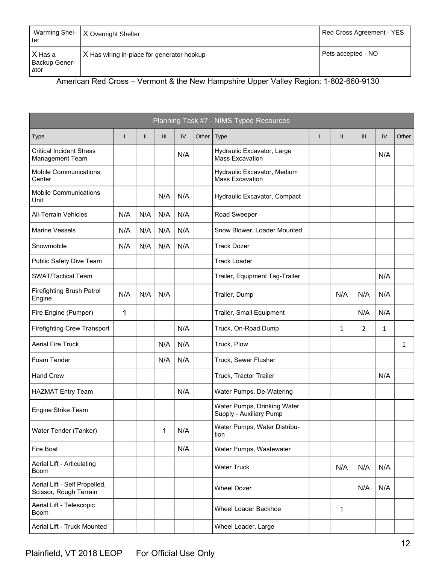| Warming Shel-<br>∣ ter             | X Overnight Shelter                        | Red Cross Agreement - YES |
|------------------------------------|--------------------------------------------|---------------------------|
| X Has a<br>Backup Gener-<br>l ator | X Has wiring in-place for generator hookup | Pets accepted - NO        |

American Red Cross – Vermont & the New Hampshire Upper Valley Region: 1-802-660-9130

|                                                         |     |               |     |     |       | Planning Task #7 - NIMS Typed Resources                |   |               |                |     |       |
|---------------------------------------------------------|-----|---------------|-----|-----|-------|--------------------------------------------------------|---|---------------|----------------|-----|-------|
| <b>Type</b>                                             | ш   | $\mathbf{II}$ | III | IV  | Other | Type                                                   | T | $\mathbf{II}$ | III            | IV  | Other |
| <b>Critical Incident Stress</b><br>Management Team      |     |               |     | N/A |       | Hydraulic Excavator, Large<br><b>Mass Excavation</b>   |   |               |                | N/A |       |
| <b>Mobile Communications</b><br>Center                  |     |               |     |     |       | Hydraulic Excavator, Medium<br><b>Mass Excavation</b>  |   |               |                |     |       |
| <b>Mobile Communications</b><br>Unit                    |     |               | N/A | N/A |       | Hydraulic Excavator, Compact                           |   |               |                |     |       |
| <b>All-Terrain Vehicles</b>                             | N/A | N/A           | N/A | N/A |       | Road Sweeper                                           |   |               |                |     |       |
| <b>Marine Vessels</b>                                   | N/A | N/A           | N/A | N/A |       | Snow Blower, Loader Mounted                            |   |               |                |     |       |
| Snowmobile                                              | N/A | N/A           | N/A | N/A |       | <b>Track Dozer</b>                                     |   |               |                |     |       |
| Public Safety Dive Team_                                |     |               |     |     |       | <b>Track Loader</b>                                    |   |               |                |     |       |
| <b>SWAT/Tactical Team</b>                               |     |               |     |     |       | Trailer, Equipment Tag-Trailer                         |   |               |                | N/A |       |
| <b>Firefighting Brush Patrol</b><br>Engine              | N/A | N/A           | N/A |     |       | Trailer, Dump                                          |   | N/A           | N/A            | N/A |       |
| Fire Engine (Pumper)                                    | 1   |               |     |     |       | Trailer, Small Equipment                               |   |               | N/A            | N/A |       |
| <b>Firefighting Crew Transport</b>                      |     |               |     | N/A |       | Truck, On-Road Dump                                    |   | 1             | $\overline{2}$ | 1   |       |
| <b>Aerial Fire Truck</b>                                |     |               | N/A | N/A |       | Truck, Plow                                            |   |               |                |     | 1     |
| Foam Tender                                             |     |               | N/A | N/A |       | Truck, Sewer Flusher                                   |   |               |                |     |       |
| <b>Hand Crew</b>                                        |     |               |     |     |       | Truck, Tractor Trailer                                 |   |               |                | N/A |       |
| <b>HAZMAT Entry Team</b>                                |     |               |     | N/A |       | Water Pumps, De-Watering                               |   |               |                |     |       |
| Engine Strike Team                                      |     |               |     |     |       | Water Pumps, Drinking Water<br>Supply - Auxiliary Pump |   |               |                |     |       |
| Water Tender (Tanker)                                   |     |               | 1   | N/A |       | Water Pumps, Water Distribu-<br>tion                   |   |               |                |     |       |
| Fire Boat                                               |     |               |     | N/A |       | Water Pumps, Wastewater                                |   |               |                |     |       |
| Aerial Lift - Articulating<br><b>Boom</b>               |     |               |     |     |       | <b>Water Truck</b>                                     |   | N/A           | N/A            | N/A |       |
| Aerial Lift - Self Propelled,<br>Scissor, Rough Terrain |     |               |     |     |       | <b>Wheel Dozer</b>                                     |   |               | N/A            | N/A |       |
| Aerial Lift - Telescopic<br><b>Boom</b>                 |     |               |     |     |       | Wheel Loader Backhoe                                   |   | 1             |                |     |       |
| Aerial Lift - Truck Mounted                             |     |               |     |     |       | Wheel Loader, Large                                    |   |               |                |     |       |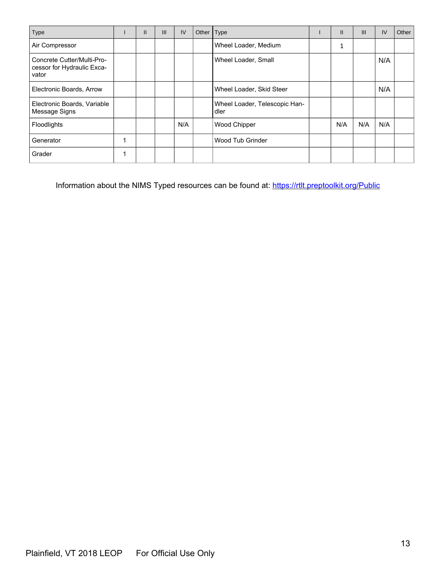| Type                                                              |   | $\mathsf{II}$ | III | IV  | Other Type |                                       | $\mathbf{I}$ | $\mathbf{III}$ | IV  | Other |
|-------------------------------------------------------------------|---|---------------|-----|-----|------------|---------------------------------------|--------------|----------------|-----|-------|
| Air Compressor                                                    |   |               |     |     |            | Wheel Loader, Medium                  | 1            |                |     |       |
| Concrete Cutter/Multi-Pro-<br>cessor for Hydraulic Exca-<br>vator |   |               |     |     |            | Wheel Loader, Small                   |              |                | N/A |       |
| Electronic Boards, Arrow                                          |   |               |     |     |            | Wheel Loader, Skid Steer              |              |                | N/A |       |
| Electronic Boards, Variable<br>Message Signs                      |   |               |     |     |            | Wheel Loader, Telescopic Han-<br>dler |              |                |     |       |
| Floodlights                                                       |   |               |     | N/A |            | Wood Chipper                          | N/A          | N/A            | N/A |       |
| Generator                                                         | 1 |               |     |     |            | Wood Tub Grinder                      |              |                |     |       |
| Grader                                                            | 1 |               |     |     |            |                                       |              |                |     |       |

Information about the NIMS Typed resources can be found at: [https://rtlt.preptoolkit.org/Public](https://rtlt.preptoolkit.org/public)